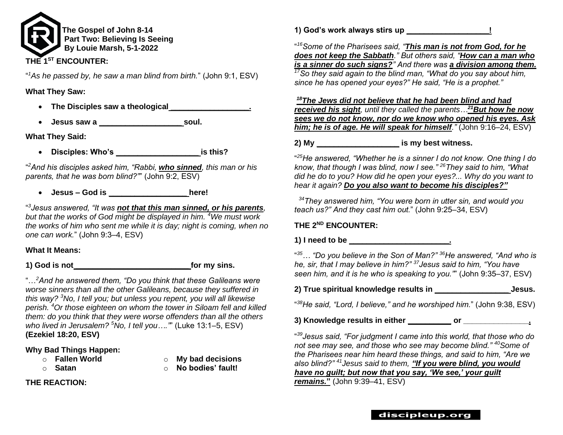

" *<sup>1</sup>As he passed by, he saw a man blind from birth.*" (John 9:1, ESV)

### **What They Saw:**

- **The Disciples saw a theological \_\_\_\_\_\_\_\_\_\_\_\_\_\_\_\_\_\_.**
- **Jesus saw a \_\_\_\_\_\_\_\_\_\_\_\_\_\_\_\_\_\_\_ soul.**

**What They Said:**

• **Disciples: Who's \_\_\_\_\_\_\_\_\_\_\_\_\_\_\_\_\_\_\_ is this?**

" *<sup>2</sup>And his disciples asked him, "Rabbi, who sinned, this man or his parents, that he was born blind?"*" (John 9:2, ESV)

• **Jesus – God is \_\_\_\_\_\_\_\_\_\_\_\_\_\_\_\_\_\_ here!**

" *3 Jesus answered, "It was not that this man sinned, or his parents, but that the works of God might be displayed in him. <sup>4</sup>We must work the works of him who sent me while it is day; night is coming, when no one can work.*" (John 9:3–4, ESV)

# **What It Means:**

**1) God is not \_\_\_\_\_\_\_\_\_\_\_\_\_\_\_\_\_\_\_\_\_\_\_\_\_\_ for my sins.**

"…*<sup>2</sup>And he answered them, "Do you think that these Galileans were worse sinners than all the other Galileans, because they suffered in this way? <sup>3</sup>No, I tell you; but unless you repent, you will all likewise perish. <sup>4</sup>Or those eighteen on whom the tower in Siloam fell and killed them: do you think that they were worse offenders than all the others who lived in Jerusalem? <sup>5</sup>No, I tell you…."*" (Luke 13:1–5, ESV) **(Ezekiel 18:20, ESV)** 

# **Why Bad Things Happen:**

- 
- o **Fallen World** o **My bad decisions**
- 
- o **Satan** o **No bodies' fault!**

**THE REACTION:**

**1) God's work always stirs up \_\_\_\_\_\_\_\_\_\_\_\_\_\_\_\_\_\_\_!**

" *<sup>16</sup>Some of the Pharisees said, "This man is not from God, for he does not keep the Sabbath." But others said, "How can a man who is a sinner do such signs?" And there was a division among them. <sup>17</sup>So they said again to the blind man, "What do you say about him, since he has opened your eyes?" He said, "He is a prophet."*

*<sup>18</sup>The Jews did not believe that he had been blind and had received his sight, until they called the parents…<sup>21</sup>But how he now sees we do not know, nor do we know who opened his eyes. Ask him; he is of age. He will speak for himself."* (John 9:16–24, ESV)

# **2) My \_\_\_\_\_\_\_\_\_\_\_\_\_\_\_\_\_\_\_ is my best witness.**

" *<sup>25</sup>He answered, "Whether he is a sinner I do not know. One thing I do know, that though I was blind, now I see." <sup>26</sup>They said to him, "What did he do to you? How did he open your eyes?... Why do you want to hear it again? Do you also want to become his disciples?"*

*<sup>34</sup>They answered him, "You were born in utter sin, and would you teach us?" And they cast him out.*" (John 9:25–34, ESV)

# **THE 2ND ENCOUNTER:**

# **1) I need to be \_\_\_\_\_\_\_\_\_\_\_\_\_\_\_\_\_\_\_\_\_\_\_.**

" *<sup>35</sup>… "Do you believe in the Son of Man?" <sup>36</sup>He answered, "And who is he, sir, that I may believe in him?" <sup>37</sup>Jesus said to him, "You have seen him, and it is he who is speaking to you."*" (John 9:35–37, ESV)

**2) True spiritual knowledge results in \_\_\_\_\_\_\_\_\_\_\_\_\_\_\_\_\_ Jesus.**

" *<sup>38</sup>He said, "Lord, I believe," and he worshiped him.*" (John 9:38, ESV)

**3) Knowledge results in either \_\_\_\_\_\_\_\_\_\_ or \_\_\_\_\_\_\_\_\_\_\_\_\_\_\_.**

" *<sup>39</sup>Jesus said, "For judgment I came into this world, that those who do not see may see, and those who see may become blind." <sup>40</sup>Some of the Pharisees near him heard these things, and said to him, "Are we also blind?" <sup>41</sup>Jesus said to them, "If you were blind, you would have no guilt; but now that you say, 'We see,' your guilt remains.***"** (John 9:39–41, ESV)

# discipleup.org